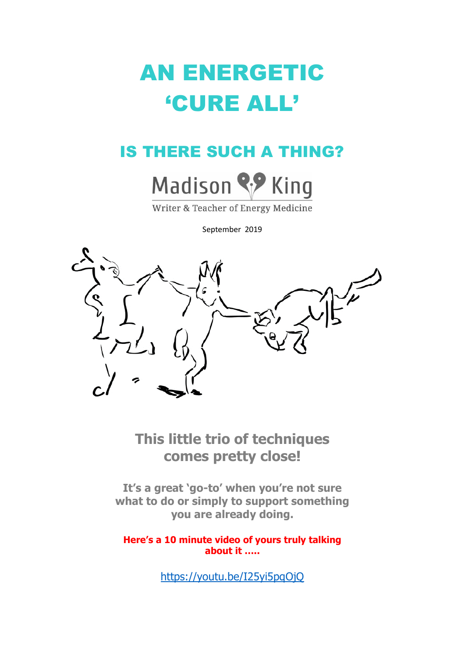# AN ENERGETIC 'CURE ALL'

## IS THERE SUCH A THING?



Writer & Teacher of Energy Medicine

September 2019



**This little trio of techniques comes pretty close!**

**It's a great 'go-to' when you're not sure what to do or simply to support something you are already doing.** 

**Here's a 10 minute video of yours truly talking about it …..**

<https://youtu.be/I25yi5pqOjQ>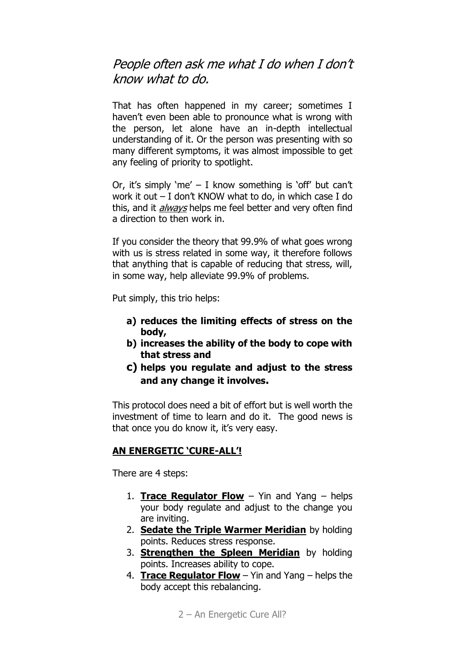### People often ask me what I do when I don't know what to do.

That has often happened in my career; sometimes I haven't even been able to pronounce what is wrong with the person, let alone have an in-depth intellectual understanding of it. Or the person was presenting with so many different symptoms, it was almost impossible to get any feeling of priority to spotlight.

Or, it's simply 'me'  $-$  I know something is 'off' but can't work it out – I don't KNOW what to do, in which case I do this, and it *always* helps me feel better and very often find a direction to then work in.

If you consider the theory that 99.9% of what goes wrong with us is stress related in some way, it therefore follows that anything that is capable of reducing that stress, will, in some way, help alleviate 99.9% of problems.

Put simply, this trio helps:

- **a) reduces the limiting effects of stress on the body,**
- **b) increases the ability of the body to cope with that stress and**
- **c) helps you regulate and adjust to the stress and any change it involves.**

This protocol does need a bit of effort but is well worth the investment of time to learn and do it. The good news is that once you do know it, it's very easy.

#### **AN ENERGETIC 'CURE-ALL'!**

There are 4 steps:

- 1. **Trace Regulator Flow** Yin and Yang helps your body regulate and adjust to the change you are inviting.
- 2. **Sedate the Triple Warmer Meridian** by holding points. Reduces stress response.
- 3. **Strengthen the Spleen Meridian** by holding points. Increases ability to cope.
- 4. **Trace Regulator Flow** Yin and Yang helps the body accept this rebalancing.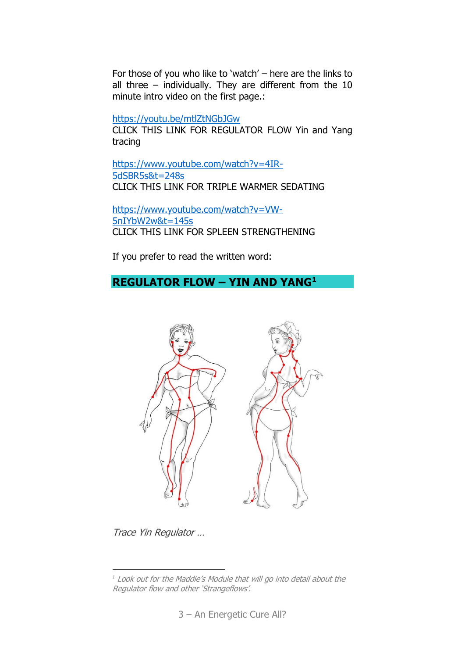For those of you who like to 'watch' – here are the links to all three – individually. They are different from the 10 minute intro video on the first page.:

<https://youtu.be/mtlZtNGbJGw>

CLICK THIS LINK FOR REGULATOR FLOW Yin and Yang tracing

[https://www.youtube.com/watch?v=4IR-](https://www.youtube.com/watch?v=4IR-5dSBR5s&t=248s)[5dSBR5s&t=248s](https://www.youtube.com/watch?v=4IR-5dSBR5s&t=248s) CLICK THIS LINK FOR TRIPLE WARMER SEDATING

[https://www.youtube.com/watch?v=VW-](https://www.youtube.com/watch?v=VW-5nIYbW2w&t=145s)[5nIYbW2w&t=145s](https://www.youtube.com/watch?v=VW-5nIYbW2w&t=145s) CLICK THIS LINK FOR SPLEEN STRENGTHENING

If you prefer to read the written word:

#### **REGULATOR FLOW – YIN AND YANG<sup>1</sup>**



Trace Yin Regulator …

<u>.</u>

*<sup>1</sup>* Look out for the Maddie's Module that will go into detail about the Regulator flow and other 'Strangeflows'.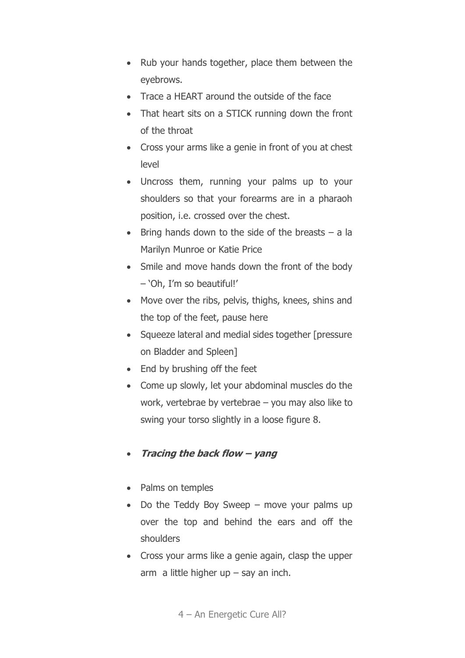- Rub your hands together, place them between the eyebrows.
- Trace a HEART around the outside of the face
- That heart sits on a STICK running down the front of the throat
- Cross your arms like a genie in front of you at chest level
- Uncross them, running your palms up to your shoulders so that your forearms are in a pharaoh position, i.e. crossed over the chest.
- Bring hands down to the side of the breasts a la Marilyn Munroe or Katie Price
- Smile and move hands down the front of the body – 'Oh, I'm so beautiful!'
- Move over the ribs, pelvis, thighs, knees, shins and the top of the feet, pause here
- Squeeze lateral and medial sides together [pressure on Bladder and Spleen]
- End by brushing off the feet
- Come up slowly, let your abdominal muscles do the work, vertebrae by vertebrae – you may also like to swing your torso slightly in a loose figure 8.

#### • **Tracing the back flow – yang**

- Palms on temples
- Do the Teddy Boy Sweep move your palms up over the top and behind the ears and off the shoulders
- Cross your arms like a genie again, clasp the upper arm a little higher up  $-$  say an inch.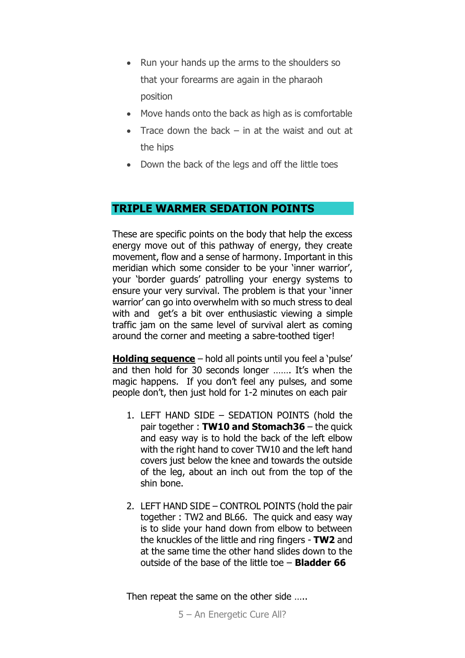- Run your hands up the arms to the shoulders so that your forearms are again in the pharaoh position
- Move hands onto the back as high as is comfortable
- Trace down the back  $-$  in at the waist and out at the hips
- Down the back of the legs and off the little toes

#### **TRIPLE WARMER SEDATION POINTS**

These are specific points on the body that help the excess energy move out of this pathway of energy, they create movement, flow and a sense of harmony. Important in this meridian which some consider to be your 'inner warrior', your 'border guards' patrolling your energy systems to ensure your very survival. The problem is that your 'inner warrior' can go into overwhelm with so much stress to deal with and get's a bit over enthusiastic viewing a simple traffic jam on the same level of survival alert as coming around the corner and meeting a sabre-toothed tiger!

**Holding sequence** – hold all points until you feel a 'pulse' and then hold for 30 seconds longer ……. It's when the magic happens. If you don't feel any pulses, and some people don't, then just hold for 1-2 minutes on each pair

- 1. LEFT HAND SIDE SEDATION POINTS (hold the pair together : **TW10 and Stomach36** – the quick and easy way is to hold the back of the left elbow with the right hand to cover TW10 and the left hand covers just below the knee and towards the outside of the leg, about an inch out from the top of the shin bone.
- 2. LEFT HAND SIDE CONTROL POINTS (hold the pair together : TW2 and BL66. The quick and easy way is to slide your hand down from elbow to between the knuckles of the little and ring fingers - **TW2** and at the same time the other hand slides down to the outside of the base of the little toe – **Bladder 66**

Then repeat the same on the other side .....